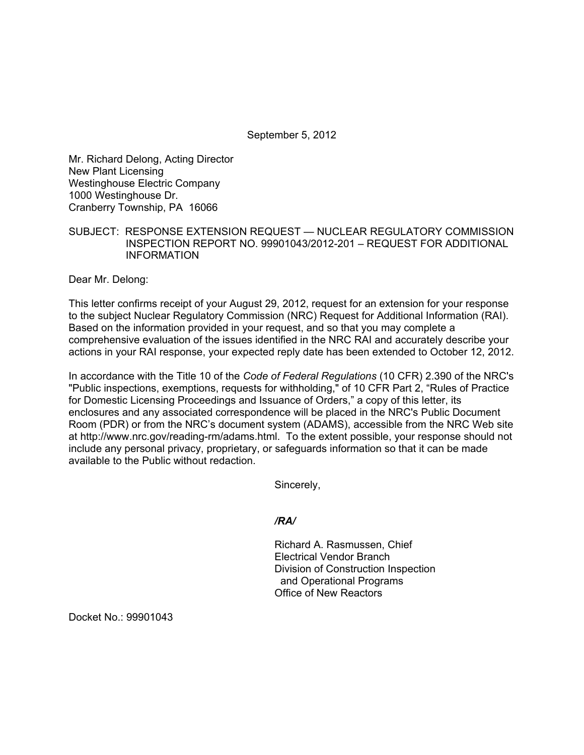September 5, 2012

Mr. Richard Delong, Acting Director New Plant Licensing Westinghouse Electric Company 1000 Westinghouse Dr. Cranberry Township, PA 16066

## SUBJECT: RESPONSE EXTENSION REQUEST — NUCLEAR REGULATORY COMMISSION INSPECTION REPORT NO. 99901043/2012-201 – REQUEST FOR ADDITIONAL INFORMATION

Dear Mr. Delong:

This letter confirms receipt of your August 29, 2012, request for an extension for your response to the subject Nuclear Regulatory Commission (NRC) Request for Additional Information (RAI). Based on the information provided in your request, and so that you may complete a comprehensive evaluation of the issues identified in the NRC RAI and accurately describe your actions in your RAI response, your expected reply date has been extended to October 12, 2012.

In accordance with the Title 10 of the *Code of Federal Regulations* (10 CFR) 2.390 of the NRC's "Public inspections, exemptions, requests for withholding," of 10 CFR Part 2, "Rules of Practice for Domestic Licensing Proceedings and Issuance of Orders," a copy of this letter, its enclosures and any associated correspondence will be placed in the NRC's Public Document Room (PDR) or from the NRC's document system (ADAMS), accessible from the NRC Web site at http://www.nrc.gov/reading-rm/adams.html. To the extent possible, your response should not include any personal privacy, proprietary, or safeguards information so that it can be made available to the Public without redaction.

Sincerely,

*/RA/* 

Richard A. Rasmussen, Chief Electrical Vendor Branch Division of Construction Inspection and Operational Programs Office of New Reactors

Docket No.: 99901043